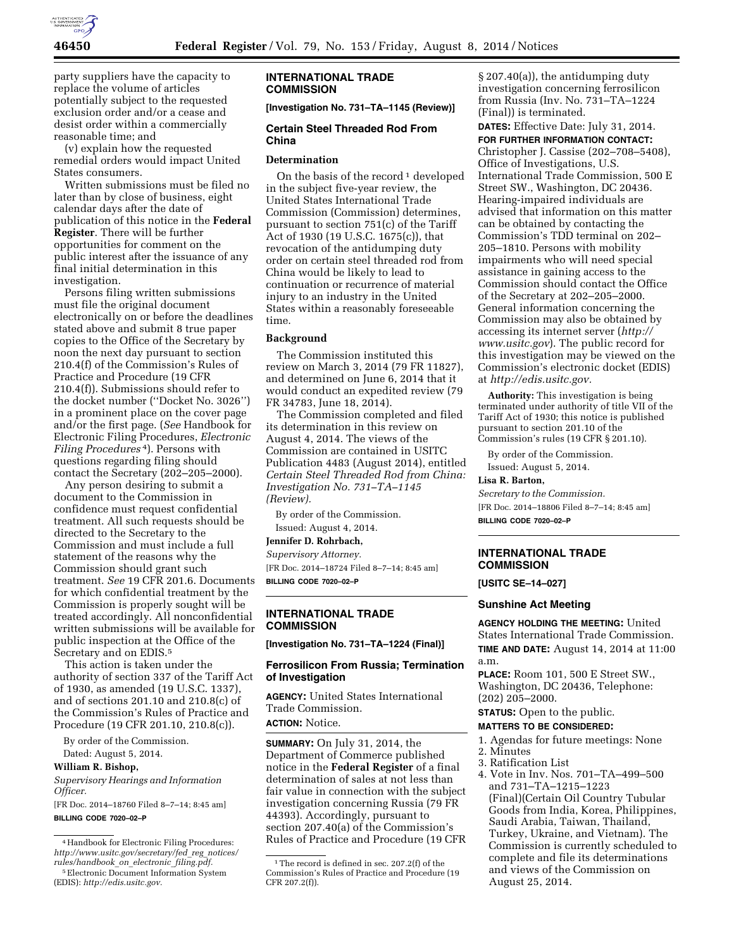

party suppliers have the capacity to replace the volume of articles potentially subject to the requested exclusion order and/or a cease and desist order within a commercially reasonable time; and

(v) explain how the requested remedial orders would impact United States consumers.

Written submissions must be filed no later than by close of business, eight calendar days after the date of publication of this notice in the **Federal Register**. There will be further opportunities for comment on the public interest after the issuance of any final initial determination in this investigation.

Persons filing written submissions must file the original document electronically on or before the deadlines stated above and submit 8 true paper copies to the Office of the Secretary by noon the next day pursuant to section 210.4(f) of the Commission's Rules of Practice and Procedure (19 CFR 210.4(f)). Submissions should refer to the docket number (''Docket No. 3026'') in a prominent place on the cover page and/or the first page. (*See* Handbook for Electronic Filing Procedures, *Electronic Filing Procedures* 4). Persons with questions regarding filing should contact the Secretary (202–205–2000).

Any person desiring to submit a document to the Commission in confidence must request confidential treatment. All such requests should be directed to the Secretary to the Commission and must include a full statement of the reasons why the Commission should grant such treatment. *See* 19 CFR 201.6. Documents for which confidential treatment by the Commission is properly sought will be treated accordingly. All nonconfidential written submissions will be available for public inspection at the Office of the Secretary and on EDIS.5

This action is taken under the authority of section 337 of the Tariff Act of 1930, as amended (19 U.S.C. 1337), and of sections 201.10 and 210.8(c) of the Commission's Rules of Practice and Procedure (19 CFR 201.10, 210.8(c)).

By order of the Commission.

Dated: August 5, 2014.

**William R. Bishop,** 

*Supervisory Hearings and Information Officer.* 

[FR Doc. 2014–18760 Filed 8–7–14; 8:45 am] **BILLING CODE 7020–02–P** 

### **INTERNATIONAL TRADE COMMISSION**

**[Investigation No. 731–TA–1145 (Review)]** 

#### **Certain Steel Threaded Rod From China**

#### **Determination**

On the basis of the record<sup>1</sup> developed in the subject five-year review, the United States International Trade Commission (Commission) determines, pursuant to section 751(c) of the Tariff Act of 1930 (19 U.S.C. 1675(c)), that revocation of the antidumping duty order on certain steel threaded rod from China would be likely to lead to continuation or recurrence of material injury to an industry in the United States within a reasonably foreseeable time.

#### **Background**

The Commission instituted this review on March 3, 2014 (79 FR 11827), and determined on June 6, 2014 that it would conduct an expedited review (79 FR 34783, June 18, 2014).

The Commission completed and filed its determination in this review on August 4, 2014. The views of the Commission are contained in USITC Publication 4483 (August 2014), entitled *Certain Steel Threaded Rod from China: Investigation No. 731–TA–1145 (Review).* 

By order of the Commission. Issued: August 4, 2014.

**Jennifer D. Rohrbach,** 

*Supervisory Attorney.*  [FR Doc. 2014–18724 Filed 8–7–14; 8:45 am] **BILLING CODE 7020–02–P** 

# **INTERNATIONAL TRADE COMMISSION**

**[Investigation No. 731–TA–1224 (Final)]** 

# **Ferrosilicon From Russia; Termination of Investigation**

**AGENCY:** United States International Trade Commission. **ACTION:** Notice.

**SUMMARY:** On July 31, 2014, the Department of Commerce published notice in the **Federal Register** of a final determination of sales at not less than fair value in connection with the subject investigation concerning Russia (79 FR 44393). Accordingly, pursuant to section 207.40(a) of the Commission's Rules of Practice and Procedure (19 CFR § 207.40(a)), the antidumping duty investigation concerning ferrosilicon from Russia (Inv. No. 731–TA–1224 (Final)) is terminated.

**DATES:** Effective Date: July 31, 2014. **FOR FURTHER INFORMATION CONTACT:**  Christopher J. Cassise (202–708–5408), Office of Investigations, U.S. International Trade Commission, 500 E Street SW., Washington, DC 20436. Hearing-impaired individuals are advised that information on this matter can be obtained by contacting the Commission's TDD terminal on 202– 205–1810. Persons with mobility impairments who will need special assistance in gaining access to the Commission should contact the Office of the Secretary at 202–205–2000. General information concerning the Commission may also be obtained by accessing its internet server (*[http://](http://www.usitc.gov) [www.usitc.gov](http://www.usitc.gov)*). The public record for this investigation may be viewed on the Commission's electronic docket (EDIS) at *[http://edis.usitc.gov.](http://edis.usitc.gov)* 

**Authority:** This investigation is being terminated under authority of title VII of the Tariff Act of 1930; this notice is published pursuant to section 201.10 of the Commission's rules (19 CFR § 201.10).

By order of the Commission.

Issued: August 5, 2014.

**Lisa R. Barton,** 

*Secretary to the Commission.* 

[FR Doc. 2014–18806 Filed 8–7–14; 8:45 am] **BILLING CODE 7020–02–P** 

## **INTERNATIONAL TRADE COMMISSION**

**[USITC SE–14–027]** 

## **Sunshine Act Meeting**

**AGENCY HOLDING THE MEETING:** United States International Trade Commission. **TIME AND DATE:** August 14, 2014 at 11:00 a.m.

**PLACE:** Room 101, 500 E Street SW., Washington, DC 20436, Telephone: (202) 205–2000.

# **STATUS:** Open to the public.

#### **MATTERS TO BE CONSIDERED:**

- 1. Agendas for future meetings: None 2. Minutes
- 3. Ratification List
- 4. Vote in Inv. Nos. 701–TA–499–500 and 731–TA–1215–1223

(Final)(Certain Oil Country Tubular Goods from India, Korea, Philippines, Saudi Arabia, Taiwan, Thailand, Turkey, Ukraine, and Vietnam). The Commission is currently scheduled to complete and file its determinations and views of the Commission on August 25, 2014.

<sup>4</sup>Handbook for Electronic Filing Procedures: *[http://www.usitc.gov/secretary/fed](http://www.usitc.gov/secretary/fed_reg_notices/rules/handbook_on_electronic_filing.pdf)*\_*reg*\_*notices/ [rules/handbook](http://www.usitc.gov/secretary/fed_reg_notices/rules/handbook_on_electronic_filing.pdf)*\_*on*\_*electronic*\_*filing.pdf.* 

<sup>5</sup>Electronic Document Information System (EDIS): *[http://edis.usitc.gov.](http://edis.usitc.gov)* 

<sup>&</sup>lt;sup>1</sup>The record is defined in sec. 207.2(f) of the Commission's Rules of Practice and Procedure (19 CFR 207.2(f)).